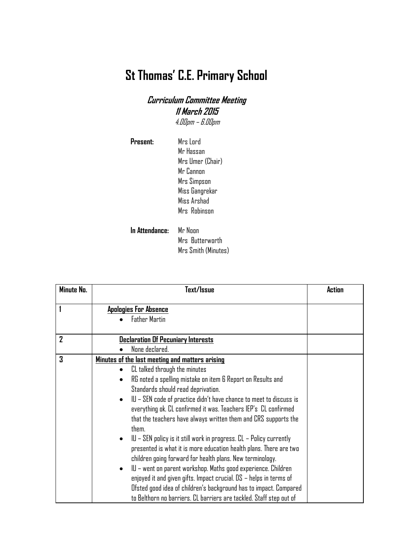## **St Thomas' C.E. Primary School**

## **Curriculum Committee Meeting 11 March 2015** 4.00pm – 6.00pm

| Present:       | Mrs Lord         |
|----------------|------------------|
|                | Mr Hassan        |
|                | Mrs Umer (Chair) |
|                | Mr Cannon        |
|                | Mrs Simpson      |
|                | Miss Gangrekar   |
|                | Miss Arshad      |
|                | Mrs Robinson     |
| In Attendance: | Mr Noon          |
|                | Mrs Butterworth  |

Mrs Smith (Minutes)

| Minute No.   | Text/Issue                                                                                                                                       | Action |
|--------------|--------------------------------------------------------------------------------------------------------------------------------------------------|--------|
|              | <b>Apologies For Absence</b>                                                                                                                     |        |
|              | <b>Father Martin</b>                                                                                                                             |        |
| $\mathbf{Z}$ | <b>Declaration Of Pecuniary Interests</b>                                                                                                        |        |
|              | None declared.                                                                                                                                   |        |
| $\mathbf 3$  | Minutes of the last meeting and matters arising                                                                                                  |        |
|              | CL talked through the minutes<br>$\bullet$                                                                                                       |        |
|              | RG noted a spelling mistake on item 6 Report on Results and<br>$\bullet$                                                                         |        |
|              | Standards should read deprivation.                                                                                                               |        |
|              | $IU$ – SEN code of practice didn't have chance to meet to discuss is<br>٠<br>everything ok. CL confirmed it was. Teachers IEP's CL confirmed     |        |
|              | that the teachers have always written them and CRS supports the<br>them.                                                                         |        |
|              | $IU$ – SEN policy is it still work in progress. $CL$ – Policy currently<br>$\bullet$                                                             |        |
|              | presented is what it is more education health plans. There are two<br>children going forward for health plans. New terminology.                  |        |
|              | IU – went on parent workshop. Maths good experience. Children<br>$\bullet$<br>enjoyed it and given gifts. Impact crucial. DS – helps in terms of |        |
|              | Ofsted good idea of children's background has to impact. Compared<br>to Belthorn no barriers. CL barriers are tackled. Staff step out of         |        |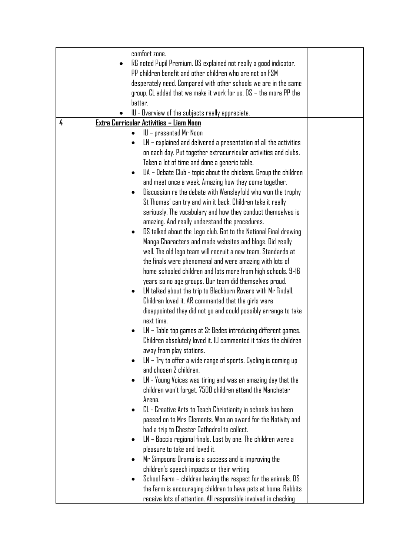|   | comfort zone.                                                                 |  |
|---|-------------------------------------------------------------------------------|--|
|   | RG noted Pupil Premium. DS explained not really a good indicator.             |  |
|   | PP children benefit and other children who are not on FSM                     |  |
|   | desperately need. Compared with other schools we are in the same              |  |
|   | group. CL added that we make it work for us. $DS -$ the more PP the           |  |
|   | better.                                                                       |  |
|   | IU - Overview of the subjects really appreciate.                              |  |
| 4 | Extra Curricular Activities - Liam Noon                                       |  |
|   | IU – presented Mr Noon<br>$\bullet$                                           |  |
|   | $LN$ – explained and delivered a presentation of all the activities           |  |
|   | on each day. Put together extracurricular activities and clubs.               |  |
|   | Taken a lot of time and done a generic table.                                 |  |
|   | UA - Debate Club - topic about the chickens. Group the children<br>$\bullet$  |  |
|   | and meet once a week. Amazing how they come together.                         |  |
|   | Discussion re the debate with Wensleyfold who won the trophy<br>$\bullet$     |  |
|   | St Thomas' can try and win it back. Children take it really                   |  |
|   | seriously. The vocabulary and how they conduct themselves is                  |  |
|   | amazing. And really understand the procedures.                                |  |
|   | DS talked about the Lego club. Got to the National Final drawing<br>$\bullet$ |  |
|   | Manga Characters and made websites and blogs. Did really                      |  |
|   | well. The old lego team will recruit a new team. Standards at                 |  |
|   | the finals were phenomenal and were amazing with lots of                      |  |
|   | home schooled children and lots more from high schools. 9-16                  |  |
|   | years so no age groups. Our team did themselves proud.                        |  |
|   | LN talked about the trip to Blackburn Rovers with Mr Tindall.<br>$\bullet$    |  |
|   | Children loved it. AR commented that the girls were                           |  |
|   | disappointed they did not go and could possibly arrange to take               |  |
|   | next time.                                                                    |  |
|   | LN – Table top games at St Bedes introducing different games.                 |  |
|   | Children absolutely loved it. IU commented it takes the children              |  |
|   | away from play stations.                                                      |  |
|   | LN – Try to offer a wide range of sports. Cycling is coming up                |  |
|   | and chosen 2 children.                                                        |  |
|   | LN - Young Voices was tiring and was an amazing day that the                  |  |
|   | children won't forget. 7500 children attend the Mancheter                     |  |
|   | Arena.                                                                        |  |
|   | CL - Creative Arts to Teach Christianity in schools has been<br>$\bullet$     |  |
|   | passed on to Mrs Clements. Won an award for the Nativity and                  |  |
|   | had a trip to Chester Cathedral to collect.                                   |  |
|   | LN – Boccia regional finals. Lost by one. The children were a                 |  |
|   | pleasure to take and loved it.                                                |  |
|   | Mr Simpsons Drama is a success and is improving the                           |  |
|   | children's speech impacts on their writing                                    |  |
|   | School Farm – children having the respect for the animals. DS                 |  |
|   | the farm is encouraging children to have pets at home. Rabbits                |  |
|   | receive lots of attention. All responsible involved in checking               |  |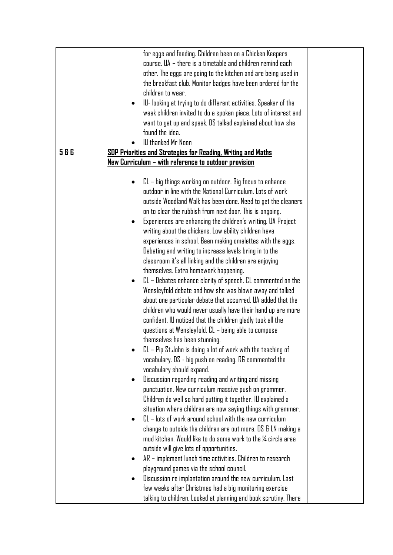|     | for eggs and feeding. Children been on a Chicken Keepers         |  |
|-----|------------------------------------------------------------------|--|
|     | course. UA - there is a timetable and children remind each       |  |
|     | other. The eggs are going to the kitchen and are being used in   |  |
|     | the breakfast club. Monitor badges have been ordered for the     |  |
|     | children to wear.                                                |  |
|     | IU- looking at trying to do different activities. Speaker of the |  |
|     |                                                                  |  |
|     | week children invited to do a spoken piece. Lots of interest and |  |
|     | want to get up and speak. DS talked explained about how she      |  |
|     | found the idea.                                                  |  |
|     | IU thanked Mr Noon                                               |  |
| 586 | SDP Priorities and Strategies for Reading, Writing and Maths     |  |
|     | New Curriculum – with reference to outdoor provision             |  |
|     |                                                                  |  |
|     | CL – big things working on outdoor. Big focus to enhance         |  |
|     | outdoor in line with the National Curriculum. Lots of work       |  |
|     | outside Woodland Walk has been done. Need to get the cleaners    |  |
|     | on to clear the rubbish from next door. This is ongoing.         |  |
|     | Experiences are enhancing the children's writing. UA Project     |  |
|     | writing about the chickens. Low ability children have            |  |
|     | experiences in school. Been making omelettes with the eggs.      |  |
|     | Debating and writing to increase levels bring in to the          |  |
|     | classroom it's all linking and the children are enjoying         |  |
|     | themselves. Extra homework happening.                            |  |
|     |                                                                  |  |
|     | CL – Debates enhance clarity of speech. CL commented on the      |  |
|     | Wensleyfold debate and how she was blown away and talked         |  |
|     | about one particular debate that occurred. UA added that the     |  |
|     | children who would never usually have their hand up are more     |  |
|     | confident. IU noticed that the children gladly took all the      |  |
|     | questions at Wensleyfold. CL – being able to compose             |  |
|     | themselves has been stunning.                                    |  |
|     | $CL$ – Pip St. John is doing a lot of work with the teaching of  |  |
|     | vocabulary. DS - big push on reading. RG commented the           |  |
|     | vocabulary should expand.                                        |  |
|     | Discussion regarding reading and writing and missing             |  |
|     | punctuation. New curriculum massive push on grammer.             |  |
|     | Children do well so hard putting it together. IU explained a     |  |
|     | situation where children are now saying things with grammer.     |  |
|     | $CL$ – lots of work around school with the new curriculum        |  |
|     | change to outside the children are out more. DS & LN making a    |  |
|     | mud kitchen. Would like to do some work to the $\%$ circle area  |  |
|     |                                                                  |  |
|     | outside will give lots of opportunities.                         |  |
|     | AR - implement lunch time activities. Children to research       |  |
|     | playground games via the school council.                         |  |
|     | Discussion re implantation around the new curriculum. Last       |  |
|     | few weeks after Christmas had a big monitoring exercise          |  |
|     | talking to children. Looked at planning and book scrutiny. There |  |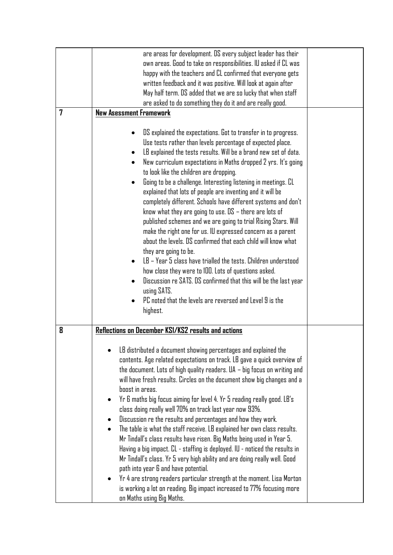| are areas for development. DS every subject leader has their                                                                                                                                                                                                                                                                                                                                                                                                                                                                                                                                                                                                                                                                                                                                                                                                                                                                      |                                                                                                                                                                                                                                                                                                                                            |
|-----------------------------------------------------------------------------------------------------------------------------------------------------------------------------------------------------------------------------------------------------------------------------------------------------------------------------------------------------------------------------------------------------------------------------------------------------------------------------------------------------------------------------------------------------------------------------------------------------------------------------------------------------------------------------------------------------------------------------------------------------------------------------------------------------------------------------------------------------------------------------------------------------------------------------------|--------------------------------------------------------------------------------------------------------------------------------------------------------------------------------------------------------------------------------------------------------------------------------------------------------------------------------------------|
| own areas. Good to take on responsibilities. IU asked if CL was                                                                                                                                                                                                                                                                                                                                                                                                                                                                                                                                                                                                                                                                                                                                                                                                                                                                   |                                                                                                                                                                                                                                                                                                                                            |
|                                                                                                                                                                                                                                                                                                                                                                                                                                                                                                                                                                                                                                                                                                                                                                                                                                                                                                                                   |                                                                                                                                                                                                                                                                                                                                            |
| written feedback and it was positive. Will look at again after                                                                                                                                                                                                                                                                                                                                                                                                                                                                                                                                                                                                                                                                                                                                                                                                                                                                    |                                                                                                                                                                                                                                                                                                                                            |
|                                                                                                                                                                                                                                                                                                                                                                                                                                                                                                                                                                                                                                                                                                                                                                                                                                                                                                                                   |                                                                                                                                                                                                                                                                                                                                            |
|                                                                                                                                                                                                                                                                                                                                                                                                                                                                                                                                                                                                                                                                                                                                                                                                                                                                                                                                   |                                                                                                                                                                                                                                                                                                                                            |
| <b>New Asessment Framework</b>                                                                                                                                                                                                                                                                                                                                                                                                                                                                                                                                                                                                                                                                                                                                                                                                                                                                                                    |                                                                                                                                                                                                                                                                                                                                            |
| DS explained the expectations. Got to transfer in to progress.<br>Use tests rather than levels percentage of expected place.<br>LB explained the tests results. Will be a brand new set of data.<br>New curriculum expectations in Maths dropped 2 yrs. It's going<br>to look like the children are dropping.<br>Going to be a challenge. Interesting listening in meetings. CL<br>explained that lots of people are inventing and it will be<br>completely different. Schools have different systems and don't<br>know what they are going to use. $DS -$ there are lots of<br>published schemes and we are going to trial Rising Stars. Will<br>make the right one for us. IU expressed concern as a parent<br>about the levels. DS confirmed that each child will know what<br>they are going to be.<br>LB – Year 5 class have trialled the tests. Children understood<br>how close they were to 100. Lots of questions asked. |                                                                                                                                                                                                                                                                                                                                            |
| using SATS.<br>PC noted that the levels are reversed and Level 9 is the<br>highest.                                                                                                                                                                                                                                                                                                                                                                                                                                                                                                                                                                                                                                                                                                                                                                                                                                               |                                                                                                                                                                                                                                                                                                                                            |
| Reflections on December KS1/KS2 results and actions                                                                                                                                                                                                                                                                                                                                                                                                                                                                                                                                                                                                                                                                                                                                                                                                                                                                               |                                                                                                                                                                                                                                                                                                                                            |
| LB distributed a document showing percentages and explained the<br>contents. Age related expectations on track. LB gave a quick overview of<br>the document. Lots of high quality readers. UA – big focus on writing and<br>will have fresh results. Circles on the document show big changes and a<br>boost in areas.<br>Yr 6 maths big focus aiming for level 4. Yr 5 reading really good. LB's<br>class doing really well 70% on track last year now 93%.<br>Discussion re the results and percentages and how they work.<br>The table is what the staff receive. LB explained her own class results.<br>Mr Tindall's class results have risen. Big Maths being used in Year 5.<br>Having a big impact. CL - staffing is deployed. IU - noticed the results in                                                                                                                                                                 |                                                                                                                                                                                                                                                                                                                                            |
|                                                                                                                                                                                                                                                                                                                                                                                                                                                                                                                                                                                                                                                                                                                                                                                                                                                                                                                                   | happy with the teachers and CL confirmed that everyone gets<br>May half term. DS added that we are so lucky that when staff<br>are asked to do something they do it and are really good.<br>Discussion re SATS. DS confirmed that this will be the last year<br>Mr Tindall's class. Yr 5 very high ability and are doing really well. Good |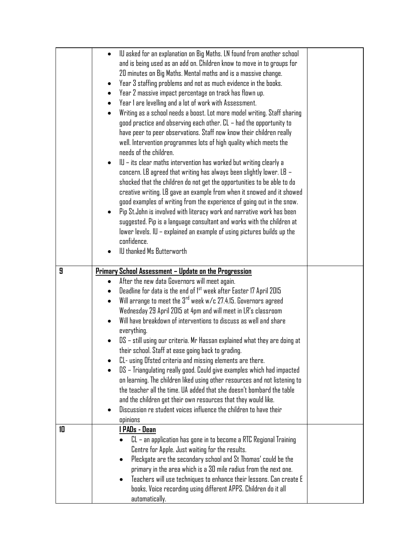|    | IU asked for an explanation on Big Maths. LN found from another school<br>and is being used as an add on. Children know to move in to groups for<br>20 minutes on Big Maths. Mental maths and is a massive change.<br>Year 3 staffing problems and not as much evidence in the books.<br>Year 2 massive impact percentage on track has flown up.<br>Year 1 are levelling and a lot of work with Assessment.<br>Writing as a school needs a boost. Lot more model writing. Staff sharing<br>good practice and observing each other. CL – had the opportunity to<br>have peer to peer observations. Staff now know their children really<br>well. Intervention programmes lots of high quality which meets the<br>needs of the children.<br>$ U - its clear$ maths intervention has worked but writing clearly a<br>concern. LB agreed that writing has always been slightly lower. LB $-$<br>shocked that the children do not get the opportunities to be able to do<br>creative writing. LB gave an example from when it snowed and it showed<br>good examples of writing from the experience of going out in the snow.<br>Pip St. John is involved with literacy work and narrative work has been<br>suggested. Pip is a language consultant and works with the children at<br>lower levels. IU - explained an example of using pictures builds up the<br>confidence.<br>IU thanked Ms Butterworth |  |
|----|-----------------------------------------------------------------------------------------------------------------------------------------------------------------------------------------------------------------------------------------------------------------------------------------------------------------------------------------------------------------------------------------------------------------------------------------------------------------------------------------------------------------------------------------------------------------------------------------------------------------------------------------------------------------------------------------------------------------------------------------------------------------------------------------------------------------------------------------------------------------------------------------------------------------------------------------------------------------------------------------------------------------------------------------------------------------------------------------------------------------------------------------------------------------------------------------------------------------------------------------------------------------------------------------------------------------------------------------------------------------------------------------------------|--|
| 9  | Primary School Assessment - Update on the Progression<br>After the new data Governors will meet again.<br>$\bullet$<br>Deadline for data is the end of 1 <sup>st</sup> week after Easter 17 April 2015<br>Will arrange to meet the $3^{rd}$ week w/c 27.4.15. Governors agreed<br>Wednesday 29 April 2015 at 4pm and will meet in LR's classroom<br>Will have breakdown of interventions to discuss as well and share<br>everything.<br>DS - still using our criteria. Mr Hassan explained what they are doing at<br>their school. Staff at ease going back to grading.<br>CL- using Ofsted criteria and missing elements are there.<br>DS – Triangulating really good. Could give examples which had impacted<br>on learning. The children liked using other resources and not listening to<br>the teacher all the time. UA added that she doesn't bombard the table<br>and the children get their own resources that they would like.<br>Discussion re student voices influence the children to have their                                                                                                                                                                                                                                                                                                                                                                                        |  |
| 10 | opinions<br>I PADs - Dean<br>$CL$ – an application has gone in to become a RTC Regional Training<br>Centre for Apple. Just waiting for the results.<br>Pleckgate are the secondary school and St Thomas' could be the<br>primary in the area which is a 30 mile radius from the next one.<br>Teachers will use techniques to enhance their lessons. Can create E<br>books, Voice recording using different APPS. Children do it all<br>automatically.                                                                                                                                                                                                                                                                                                                                                                                                                                                                                                                                                                                                                                                                                                                                                                                                                                                                                                                                               |  |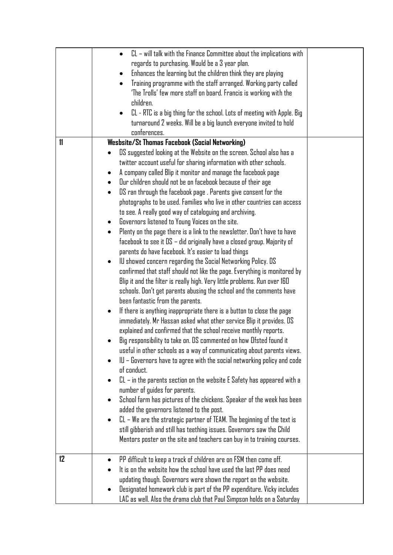|               | $CL$ – will talk with the Finance Committee about the implications with<br>regards to purchasing. Would be a 3 year plan.<br>Enhances the learning but the children think they are playing<br>$\bullet$<br>Training programme with the staff arranged. Working party called<br>'The Trolls' few more staff on board. Francis is working with the<br>children.<br>CL - RTC is a big thing for the school. Lots of meeting with Apple. Big<br>$\bullet$<br>turnaround 2 weeks. Will be a big launch everyone invited to hold<br>conferences.                                                                                                                                                                                                                                                                                                                                                                                                                                                                                                                                                                                                                                                                                                                                                                                                                                                                                                                                                                                                                                                                                                                                                                                                                                                                                                                                                                                                                                                                                                                                           |  |
|---------------|--------------------------------------------------------------------------------------------------------------------------------------------------------------------------------------------------------------------------------------------------------------------------------------------------------------------------------------------------------------------------------------------------------------------------------------------------------------------------------------------------------------------------------------------------------------------------------------------------------------------------------------------------------------------------------------------------------------------------------------------------------------------------------------------------------------------------------------------------------------------------------------------------------------------------------------------------------------------------------------------------------------------------------------------------------------------------------------------------------------------------------------------------------------------------------------------------------------------------------------------------------------------------------------------------------------------------------------------------------------------------------------------------------------------------------------------------------------------------------------------------------------------------------------------------------------------------------------------------------------------------------------------------------------------------------------------------------------------------------------------------------------------------------------------------------------------------------------------------------------------------------------------------------------------------------------------------------------------------------------------------------------------------------------------------------------------------------------|--|
| $\mathbf{11}$ | Wesbsite/St Thomas Facebook (Social Networking)                                                                                                                                                                                                                                                                                                                                                                                                                                                                                                                                                                                                                                                                                                                                                                                                                                                                                                                                                                                                                                                                                                                                                                                                                                                                                                                                                                                                                                                                                                                                                                                                                                                                                                                                                                                                                                                                                                                                                                                                                                      |  |
|               | DS suggested looking at the Website on the screen. School also has a<br>twitter account useful for sharing information with other schools.<br>A company called Blip it monitor and manage the facebook page<br>$\bullet$<br>Our children should not be on facebook because of their age<br>DS ran through the facebook page . Parents give consent for the<br>photographs to be used. Families who live in other countries can access<br>to see. A really good way of cataloguing and archiving.<br>Governors listened to Young Voices on the site.<br>٠<br>Plenty on the page there is a link to the newsletter. Don't have to have<br>facebook to see it $DS -$ did originally have a closed group. Majority of<br>parents do have facebook. It's easier to load things<br>IU showed concern regarding the Social Networking Policy. DS<br>$\bullet$<br>confirmed that staff should not like the page. Everything is monitored by<br>Blip it and the filter is really high. Very little problems. Run over 160<br>schools. Don't get parents abusing the school and the comments have<br>been fantastic from the parents.<br>If there is anything inappropriate there is a button to close the page<br>$\bullet$<br>immediately. Mr Hassan asked what other service Blip it provides. DS<br>explained and confirmed that the school receive monthly reports.<br>Big responsibility to take on. DS commented on how Ofsted found it<br>useful in other schools as a way of communicating about parents views.<br>IU – Governors have to agree with the social networking policy and code<br>of conduct.<br>$CL$ – in the parents section on the website E Safety has appeared with a<br>number of guides for parents.<br>School farm has pictures of the chickens. Speaker of the week has been<br>added the governors listened to the post.<br>$CL - We$ are the strategic partner of TEAM. The beginning of the text is<br>٠<br>still gibberish and still has teething issues. Governors saw the Child<br>Mentors poster on the site and teachers can buy in to training courses. |  |
| 12            | PP difficult to keep a track of children are on FSM then come off.<br>It is on the website how the school have used the last PP does need<br>updating though. Governors were shown the report on the website.<br>Designated homework club is part of the PP expenditure. Vicky includes<br>LAC as well. Also the drama club that Paul Simpson holds on a Saturday                                                                                                                                                                                                                                                                                                                                                                                                                                                                                                                                                                                                                                                                                                                                                                                                                                                                                                                                                                                                                                                                                                                                                                                                                                                                                                                                                                                                                                                                                                                                                                                                                                                                                                                    |  |